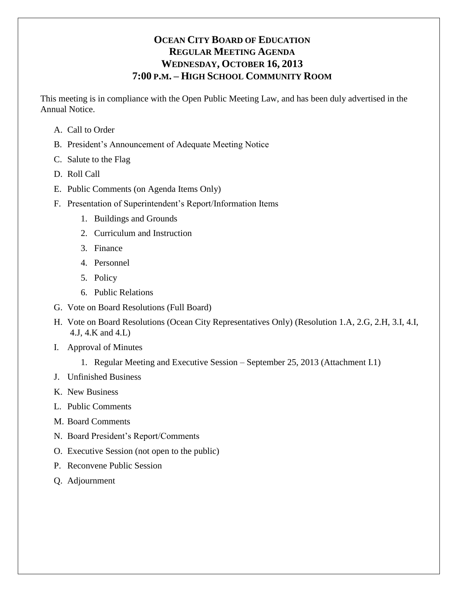# **OCEAN CITY BOARD OF EDUCATION REGULAR MEETING AGENDA WEDNESDAY, OCTOBER 16, 2013 7:00 P.M. – HIGH SCHOOL COMMUNITY ROOM**

This meeting is in compliance with the Open Public Meeting Law, and has been duly advertised in the Annual Notice.

- A. Call to Order
- B. President's Announcement of Adequate Meeting Notice
- C. Salute to the Flag
- D. Roll Call
- E. Public Comments (on Agenda Items Only)
- F. Presentation of Superintendent's Report/Information Items
	- 1. Buildings and Grounds
	- 2. Curriculum and Instruction
	- 3. Finance
	- 4. Personnel
	- 5. Policy
	- 6. Public Relations
- G. Vote on Board Resolutions (Full Board)
- H. Vote on Board Resolutions (Ocean City Representatives Only) (Resolution 1.A, 2.G, 2.H, 3.I, 4.I, 4.J, 4.K and 4.L)
- I. Approval of Minutes
	- 1. Regular Meeting and Executive Session September 25, 2013 (Attachment I.1)
- J. Unfinished Business
- K. New Business
- L. Public Comments
- M. Board Comments
- N. Board President's Report/Comments
- O. Executive Session (not open to the public)
- P. Reconvene Public Session
- Q. Adjournment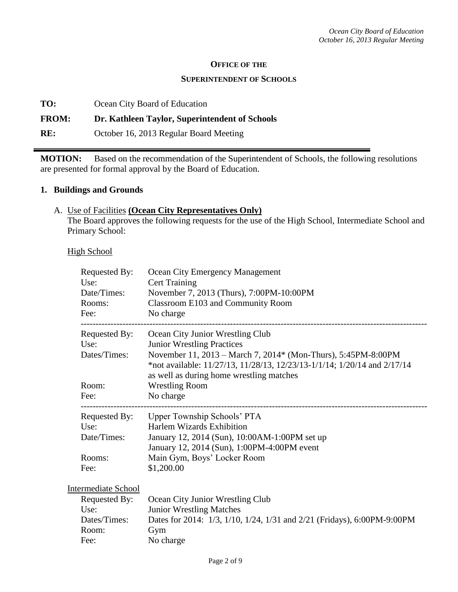#### **OFFICE OF THE**

#### **SUPERINTENDENT OF SCHOOLS**

**TO:** Ocean City Board of Education

#### **FROM: Dr. Kathleen Taylor, Superintendent of Schools**

**RE:** October 16, 2013 Regular Board Meeting

**MOTION:** Based on the recommendation of the Superintendent of Schools, the following resolutions are presented for formal approval by the Board of Education.

#### **1. Buildings and Grounds**

#### A. Use of Facilities **(Ocean City Representatives Only)**

The Board approves the following requests for the use of the High School, Intermediate School and Primary School:

**High School** 

| Requested By:<br>Use:<br>Date/Times:<br>Rooms:<br>Fee: | <b>Ocean City Emergency Management</b><br><b>Cert Training</b><br>November 7, 2013 (Thurs), 7:00PM-10:00PM<br>Classroom E103 and Community Room<br>No charge                                                               |
|--------------------------------------------------------|----------------------------------------------------------------------------------------------------------------------------------------------------------------------------------------------------------------------------|
| Requested By:                                          | Ocean City Junior Wrestling Club                                                                                                                                                                                           |
| Use:<br>Dates/Times:                                   | <b>Junior Wrestling Practices</b><br>November 11, 2013 – March 7, 2014* (Mon-Thurs), 5:45PM-8:00PM<br>*not available: 11/27/13, 11/28/13, 12/23/13-1/1/14; 1/20/14 and 2/17/14<br>as well as during home wrestling matches |
| Room:                                                  | <b>Wrestling Room</b>                                                                                                                                                                                                      |
| Fee:                                                   | No charge                                                                                                                                                                                                                  |
| Requested By:                                          | Upper Township Schools' PTA                                                                                                                                                                                                |
| Use:                                                   | <b>Harlem Wizards Exhibition</b>                                                                                                                                                                                           |
| Date/Times:                                            | January 12, 2014 (Sun), 10:00AM-1:00PM set up                                                                                                                                                                              |
| Rooms:                                                 | January 12, 2014 (Sun), 1:00PM-4:00PM event<br>Main Gym, Boys' Locker Room                                                                                                                                                 |
|                                                        |                                                                                                                                                                                                                            |
| Fee:                                                   | \$1,200.00                                                                                                                                                                                                                 |
| <b>Intermediate School</b>                             |                                                                                                                                                                                                                            |
| Requested By:                                          | Ocean City Junior Wrestling Club                                                                                                                                                                                           |
| Use:                                                   | <b>Junior Wrestling Matches</b>                                                                                                                                                                                            |
| Dates/Times:                                           | Dates for 2014: 1/3, 1/10, 1/24, 1/31 and 2/21 (Fridays), 6:00PM-9:00PM                                                                                                                                                    |
| Room:                                                  | Gym                                                                                                                                                                                                                        |
| Fee:                                                   | No charge                                                                                                                                                                                                                  |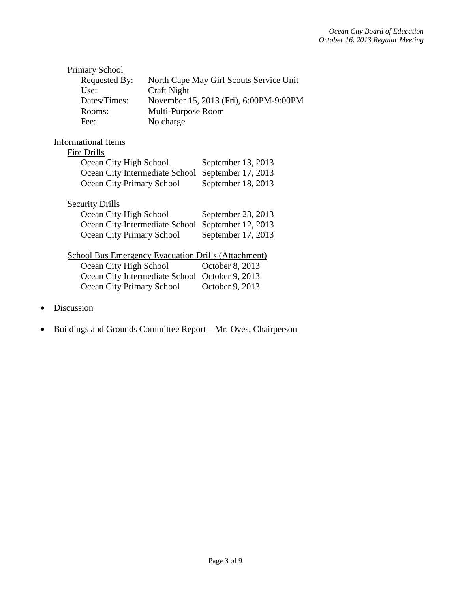| <b>Primary School</b>                          |                    |                                                            |
|------------------------------------------------|--------------------|------------------------------------------------------------|
| Requested By:                                  |                    | North Cape May Girl Scouts Service Unit                    |
| Use:                                           | Craft Night        |                                                            |
| Dates/Times:                                   |                    | November 15, 2013 (Fri), 6:00PM-9:00PM                     |
| Rooms:                                         | Multi-Purpose Room |                                                            |
| Fee:                                           | No charge          |                                                            |
| <b>Informational Items</b>                     |                    |                                                            |
| Fire Drills                                    |                    |                                                            |
| Ocean City High School                         |                    | September 13, 2013                                         |
| Ocean City Intermediate School                 |                    | September 17, 2013                                         |
| Ocean City Primary School                      |                    | September 18, 2013                                         |
| <b>Security Drills</b>                         |                    |                                                            |
| Ocean City High School                         |                    | September 23, 2013                                         |
| Ocean City Intermediate School                 |                    | September 12, 2013                                         |
| Ocean City Primary School                      |                    | September 17, 2013                                         |
|                                                |                    | <b>School Bus Emergency Evacuation Drills (Attachment)</b> |
| Ocean City High School                         |                    | October 8, 2013                                            |
| Ocean City Intermediate School October 9, 2013 |                    |                                                            |
| Ocean City Primary School                      |                    | October 9, 2013                                            |
|                                                |                    |                                                            |

- Discussion
- Buildings and Grounds Committee Report Mr. Oves, Chairperson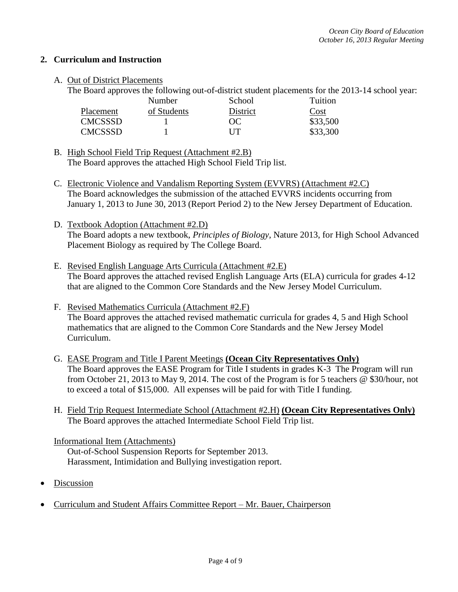### **2. Curriculum and Instruction**

### A. Out of District Placements

The Board approves the following out-of-district student placements for the 2013-14 school year:

|                | Number      | School   | Tuition  |
|----------------|-------------|----------|----------|
| Placement      | of Students | District | Cost     |
| <b>CMCSSSD</b> |             | OC.      | \$33,500 |
| <b>CMCSSSD</b> |             | I IT     | \$33,300 |

B. High School Field Trip Request (Attachment #2.B) The Board approves the attached High School Field Trip list.

- C. Electronic Violence and Vandalism Reporting System (EVVRS) (Attachment #2.C) The Board acknowledges the submission of the attached EVVRS incidents occurring from January 1, 2013 to June 30, 2013 (Report Period 2) to the New Jersey Department of Education.
- D. Textbook Adoption (Attachment #2.D) The Board adopts a new textbook, *Principles of Biology*, Nature 2013, for High School Advanced Placement Biology as required by The College Board.
- E. Revised English Language Arts Curricula (Attachment #2.E) The Board approves the attached revised English Language Arts (ELA) curricula for grades 4-12 that are aligned to the Common Core Standards and the New Jersey Model Curriculum.
- F. Revised Mathematics Curricula (Attachment #2.F) The Board approves the attached revised mathematic curricula for grades 4, 5 and High School mathematics that are aligned to the Common Core Standards and the New Jersey Model Curriculum.
- G. EASE Program and Title I Parent Meetings **(Ocean City Representatives Only)** The Board approves the EASE Program for Title I students in grades K-3 The Program will run from October 21, 2013 to May 9, 2014. The cost of the Program is for 5 teachers @ \$30/hour, not to exceed a total of \$15,000. All expenses will be paid for with Title I funding.
- H. Field Trip Request Intermediate School (Attachment #2.H) **(Ocean City Representatives Only)** The Board approves the attached Intermediate School Field Trip list.

#### Informational Item (Attachments)

Out-of-School Suspension Reports for September 2013. Harassment, Intimidation and Bullying investigation report.

- Discussion
- Curriculum and Student Affairs Committee Report Mr. Bauer, Chairperson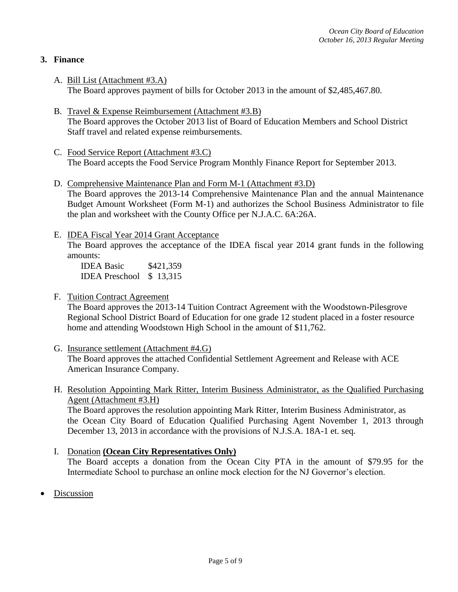## **3. Finance**

- A. Bill List (Attachment #3.A) The Board approves payment of bills for October 2013 in the amount of \$2,485,467.80.
- B. Travel & Expense Reimbursement (Attachment #3.B) The Board approves the October 2013 list of Board of Education Members and School District Staff travel and related expense reimbursements.
- C. Food Service Report (Attachment #3.C) The Board accepts the Food Service Program Monthly Finance Report for September 2013.
- D. Comprehensive Maintenance Plan and Form M-1 (Attachment #3.D) The Board approves the 2013-14 Comprehensive Maintenance Plan and the annual Maintenance Budget Amount Worksheet (Form M-1) and authorizes the School Business Administrator to file the plan and worksheet with the County Office per N.J.A.C. 6A:26A.
- E. IDEA Fiscal Year 2014 Grant Acceptance The Board approves the acceptance of the IDEA fiscal year 2014 grant funds in the following amounts:

IDEA Basic \$421,359 IDEA Preschool \$ 13,315

F. Tuition Contract Agreement

The Board approves the 2013-14 Tuition Contract Agreement with the Woodstown-Pilesgrove Regional School District Board of Education for one grade 12 student placed in a foster resource home and attending Woodstown High School in the amount of \$11,762.

- G. Insurance settlement (Attachment #4.G) The Board approves the attached Confidential Settlement Agreement and Release with ACE American Insurance Company.
- H. Resolution Appointing Mark Ritter, Interim Business Administrator, as the Qualified Purchasing Agent (Attachment #3.H)

The Board approves the resolution appointing Mark Ritter, Interim Business Administrator, as the Ocean City Board of Education Qualified Purchasing Agent November 1, 2013 through December 13, 2013 in accordance with the provisions of N.J.S.A. 18A-1 et. seq.

- I. Donation **(Ocean City Representatives Only)** The Board accepts a donation from the Ocean City PTA in the amount of \$79.95 for the Intermediate School to purchase an online mock election for the NJ Governor's election.
- Discussion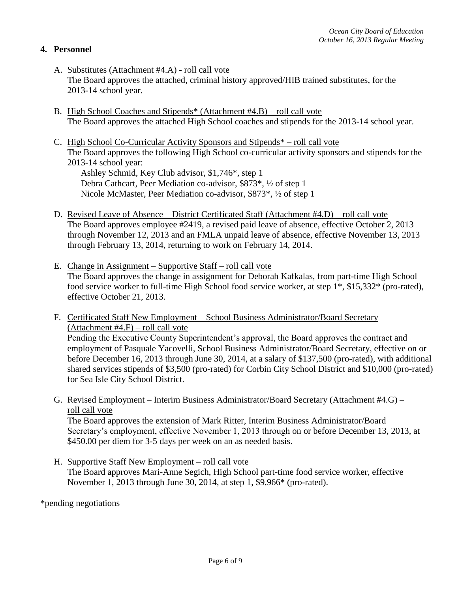## **4. Personnel**

- A. Substitutes (Attachment #4.A) roll call vote The Board approves the attached, criminal history approved/HIB trained substitutes, for the 2013-14 school year.
- B. High School Coaches and Stipends\* (Attachment #4.B) roll call vote The Board approves the attached High School coaches and stipends for the 2013-14 school year.
- C. High School Co-Curricular Activity Sponsors and Stipends\* roll call vote The Board approves the following High School co-curricular activity sponsors and stipends for the 2013-14 school year:

Ashley Schmid, Key Club advisor, \$1,746\*, step 1 Debra Cathcart, Peer Mediation co-advisor, \$873\*, ½ of step 1 Nicole McMaster, Peer Mediation co-advisor, \$873\*, ½ of step 1

- D. Revised Leave of Absence District Certificated Staff (Attachment #4.D) roll call vote The Board approves employee #2419, a revised paid leave of absence, effective October 2, 2013 through November 12, 2013 and an FMLA unpaid leave of absence, effective November 13, 2013 through February 13, 2014, returning to work on February 14, 2014.
- E. Change in Assignment Supportive Staff roll call vote The Board approves the change in assignment for Deborah Kafkalas, from part-time High School food service worker to full-time High School food service worker, at step 1\*, \$15,332\* (pro-rated), effective October 21, 2013.
- F. Certificated Staff New Employment School Business Administrator/Board Secretary (Attachment #4.F) – roll call vote Pending the Executive County Superintendent's approval, the Board approves the contract and employment of Pasquale Yacovelli, School Business Administrator/Board Secretary, effective on or before December 16, 2013 through June 30, 2014, at a salary of \$137,500 (pro-rated), with additional shared services stipends of \$3,500 (pro-rated) for Corbin City School District and \$10,000 (pro-rated) for Sea Isle City School District.
- G. Revised Employment Interim Business Administrator/Board Secretary (Attachment #4.G) roll call vote

The Board approves the extension of Mark Ritter, Interim Business Administrator/Board Secretary's employment, effective November 1, 2013 through on or before December 13, 2013, at \$450.00 per diem for 3-5 days per week on an as needed basis.

H. Supportive Staff New Employment – roll call vote The Board approves Mari-Anne Segich, High School part-time food service worker, effective November 1, 2013 through June 30, 2014, at step 1, \$9,966\* (pro-rated).

\*pending negotiations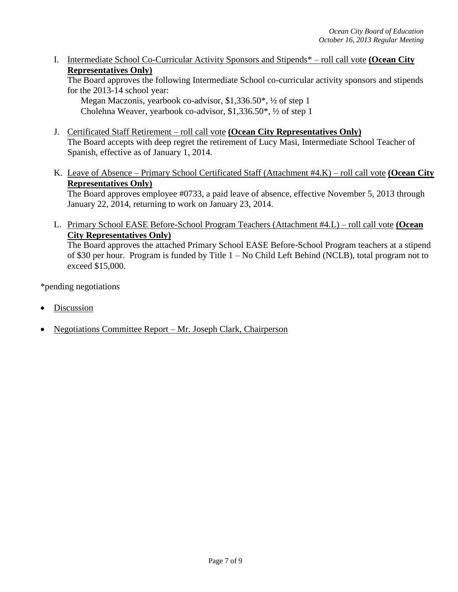I. Intermediate School Co-Curricular Activity Sponsors and Stipends\* – roll call vote **(Ocean City Representatives Only)**

The Board approves the following Intermediate School co-curricular activity sponsors and stipends for the 2013-14 school year:

Megan Maczonis, yearbook co-advisor, \$1,336.50\*, ½ of step 1 Cholehna Weaver, yearbook co-advisor, \$1,336.50\*, ½ of step 1

- J. Certificated Staff Retirement roll call vote **(Ocean City Representatives Only)** The Board accepts with deep regret the retirement of Lucy Masi, Intermediate School Teacher of Spanish, effective as of January 1, 2014.
- K. Leave of Absence Primary School Certificated Staff (Attachment #4.K) roll call vote **(Ocean City Representatives Only)**

The Board approves employee #0733, a paid leave of absence, effective November 5, 2013 through January 22, 2014, returning to work on January 23, 2014.

L. Primary School EASE Before-School Program Teachers (Attachment #4.L) – roll call vote **(Ocean City Representatives Only)**

The Board approves the attached Primary School EASE Before-School Program teachers at a stipend of \$30 per hour. Program is funded by Title 1 – No Child Left Behind (NCLB), total program not to exceed \$15,000.

\*pending negotiations

- Discussion
- Negotiations Committee Report Mr. Joseph Clark, Chairperson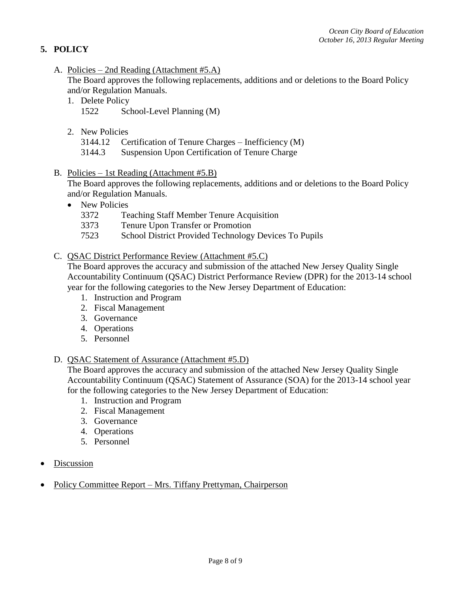## **5. POLICY**

A. Policies – 2nd Reading (Attachment #5.A)

The Board approves the following replacements, additions and or deletions to the Board Policy and/or Regulation Manuals.

- 1. Delete Policy 1522 School-Level Planning (M)
- 2. New Policies

3144.12 Certification of Tenure Charges – Inefficiency (M)

- 3144.3 Suspension Upon Certification of Tenure Charge
- B. Policies 1st Reading (Attachment #5.B)

The Board approves the following replacements, additions and or deletions to the Board Policy and/or Regulation Manuals.

- New Policies
	- 3372 Teaching Staff Member Tenure Acquisition
	- 3373 Tenure Upon Transfer or Promotion
	- 7523 School District Provided Technology Devices To Pupils

### C. QSAC District Performance Review (Attachment #5.C)

The Board approves the accuracy and submission of the attached New Jersey Quality Single Accountability Continuum (QSAC) District Performance Review (DPR) for the 2013-14 school year for the following categories to the New Jersey Department of Education:

- 1. Instruction and Program
- 2. Fiscal Management
- 3. Governance
- 4. Operations
- 5. Personnel

#### D. QSAC Statement of Assurance (Attachment #5.D)

The Board approves the accuracy and submission of the attached New Jersey Quality Single Accountability Continuum (QSAC) Statement of Assurance (SOA) for the 2013-14 school year for the following categories to the New Jersey Department of Education:

- 1. Instruction and Program
- 2. Fiscal Management
- 3. Governance
- 4. Operations
- 5. Personnel
- Discussion
- Policy Committee Report Mrs. Tiffany Prettyman, Chairperson